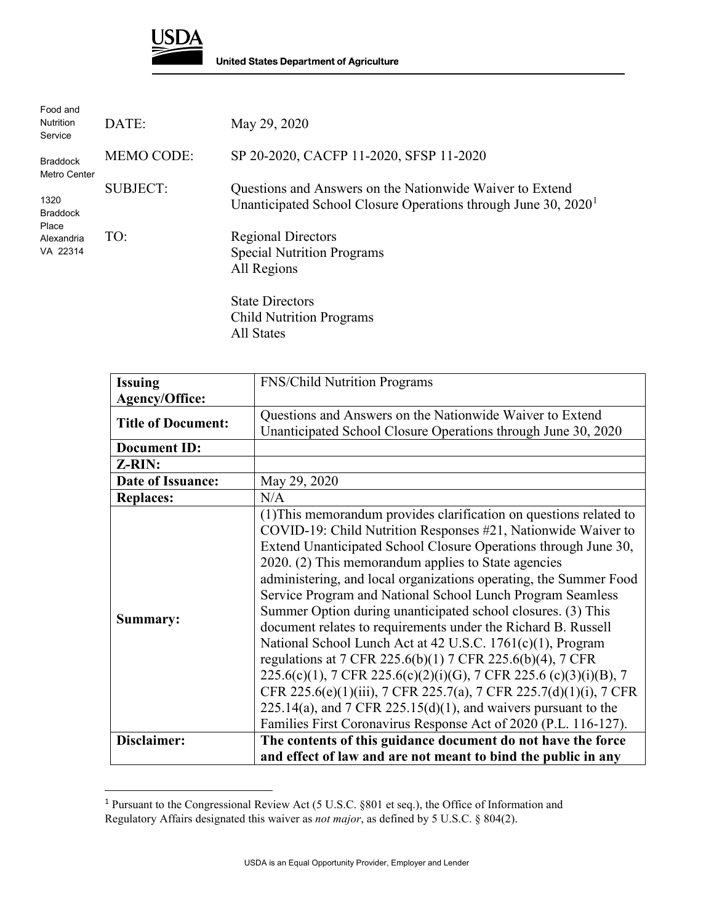

| Food and<br><b>Nutrition</b><br>Service                    | DATE:             | May 29, 2020                                                                                                                 |
|------------------------------------------------------------|-------------------|------------------------------------------------------------------------------------------------------------------------------|
| <b>Braddock</b><br>Metro Center                            | <b>MEMO CODE:</b> | SP 20-2020, CACFP 11-2020, SFSP 11-2020                                                                                      |
| 1320<br><b>Braddock</b><br>Place<br>Alexandria<br>VA 22314 | <b>SUBJECT:</b>   | Questions and Answers on the Nationwide Waiver to Extend<br>Unanticipated School Closure Operations through June $30, 20201$ |
|                                                            | TO:               | <b>Regional Directors</b><br><b>Special Nutrition Programs</b><br>All Regions                                                |
|                                                            |                   | <b>State Directors</b><br>$\sim$ 11111. $\cdot$ n                                                                            |

Child Nutrition Programs All States

| <b>Issuing</b>            | FNS/Child Nutrition Programs                                                                                                                                                                                                                                                                                                                                                                                                                                                                                                                                                                                                                                                                                                                                                                                                                                                                                                                        |
|---------------------------|-----------------------------------------------------------------------------------------------------------------------------------------------------------------------------------------------------------------------------------------------------------------------------------------------------------------------------------------------------------------------------------------------------------------------------------------------------------------------------------------------------------------------------------------------------------------------------------------------------------------------------------------------------------------------------------------------------------------------------------------------------------------------------------------------------------------------------------------------------------------------------------------------------------------------------------------------------|
| <b>Agency/Office:</b>     |                                                                                                                                                                                                                                                                                                                                                                                                                                                                                                                                                                                                                                                                                                                                                                                                                                                                                                                                                     |
| <b>Title of Document:</b> | Questions and Answers on the Nationwide Waiver to Extend                                                                                                                                                                                                                                                                                                                                                                                                                                                                                                                                                                                                                                                                                                                                                                                                                                                                                            |
|                           | Unanticipated School Closure Operations through June 30, 2020                                                                                                                                                                                                                                                                                                                                                                                                                                                                                                                                                                                                                                                                                                                                                                                                                                                                                       |
| <b>Document ID:</b>       |                                                                                                                                                                                                                                                                                                                                                                                                                                                                                                                                                                                                                                                                                                                                                                                                                                                                                                                                                     |
| Z-RIN:                    |                                                                                                                                                                                                                                                                                                                                                                                                                                                                                                                                                                                                                                                                                                                                                                                                                                                                                                                                                     |
| Date of Issuance:         | May 29, 2020                                                                                                                                                                                                                                                                                                                                                                                                                                                                                                                                                                                                                                                                                                                                                                                                                                                                                                                                        |
| <b>Replaces:</b>          | N/A                                                                                                                                                                                                                                                                                                                                                                                                                                                                                                                                                                                                                                                                                                                                                                                                                                                                                                                                                 |
| Summary:                  | (1) This memorandum provides clarification on questions related to<br>COVID-19: Child Nutrition Responses #21, Nationwide Waiver to<br>Extend Unanticipated School Closure Operations through June 30,<br>2020. (2) This memorandum applies to State agencies<br>administering, and local organizations operating, the Summer Food<br>Service Program and National School Lunch Program Seamless<br>Summer Option during unanticipated school closures. (3) This<br>document relates to requirements under the Richard B. Russell<br>National School Lunch Act at 42 U.S.C. 1761(c)(1), Program<br>regulations at 7 CFR 225.6(b)(1) 7 CFR 225.6(b)(4), 7 CFR<br>225.6(c)(1), 7 CFR 225.6(c)(2)(i)(G), 7 CFR 225.6 (c)(3)(i)(B), 7<br>CFR 225.6(e)(1)(iii), 7 CFR 225.7(a), 7 CFR 225.7(d)(1)(i), 7 CFR<br>$225.14(a)$ , and $7$ CFR $225.15(d)(1)$ , and waivers pursuant to the<br>Families First Coronavirus Response Act of 2020 (P.L. 116-127). |
| Disclaimer:               | The contents of this guidance document do not have the force                                                                                                                                                                                                                                                                                                                                                                                                                                                                                                                                                                                                                                                                                                                                                                                                                                                                                        |
|                           | and effect of law and are not meant to bind the public in any                                                                                                                                                                                                                                                                                                                                                                                                                                                                                                                                                                                                                                                                                                                                                                                                                                                                                       |

<span id="page-0-0"></span><sup>&</sup>lt;sup>1</sup> Pursuant to the Congressional Review Act (5 U.S.C. §801 et seq.), the Office of Information and Regulatory Affairs designated this waiver as *not major*, as defined by 5 U.S.C. § 804(2).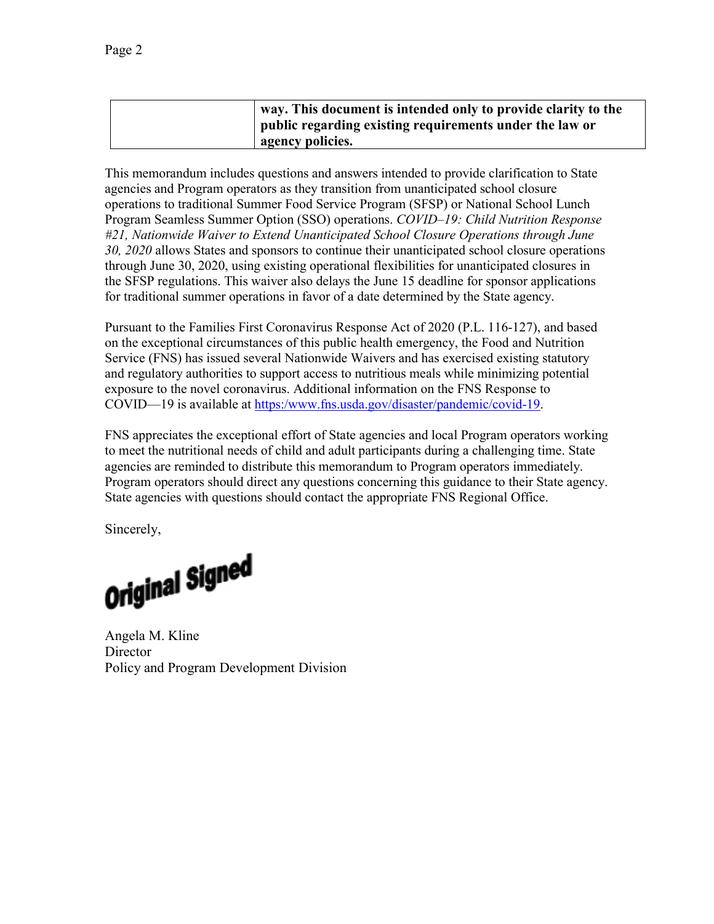| way. This document is intended only to provide clarity to the |
|---------------------------------------------------------------|
| public regarding existing requirements under the law or       |
| agency policies.                                              |

This memorandum includes questions and answers intended to provide clarification to State agencies and Program operators as they transition from unanticipated school closure operations to traditional Summer Food Service Program (SFSP) or National School Lunch Program Seamless Summer Option (SSO) operations. *COVID–19: Child Nutrition Response #21, Nationwide Waiver to Extend Unanticipated School Closure Operations through June 30, 2020* allows States and sponsors to continue their unanticipated school closure operations through June 30, 2020, using existing operational flexibilities for unanticipated closures in the SFSP regulations. This waiver also delays the June 15 deadline for sponsor applications for traditional summer operations in favor of a date determined by the State agency.

Pursuant to the Families First Coronavirus Response Act of 2020 (P.L. 116-127), and based on the exceptional circumstances of this public health emergency, the Food and Nutrition Service (FNS) has issued several Nationwide Waivers and has exercised existing statutory and regulatory authorities to support access to nutritious meals while minimizing potential exposure to the novel coronavirus. Additional information on the FNS Response to COVID—19 is available at [https:/www.fns.usda.gov/disaster/pandemic/covid-19.](https://www.fns.usda.gov/disaster/pandemic/covid-19)

FNS appreciates the exceptional effort of State agencies and local Program operators working to meet the nutritional needs of child and adult participants during a challenging time. State agencies are reminded to distribute this memorandum to Program operators immediately. Program operators should direct any questions concerning this guidance to their State agency. State agencies with questions should contact the appropriate FNS Regional Office.

Sincerely,

Original Signed

Angela M. Kline **Director** Policy and Program Development Division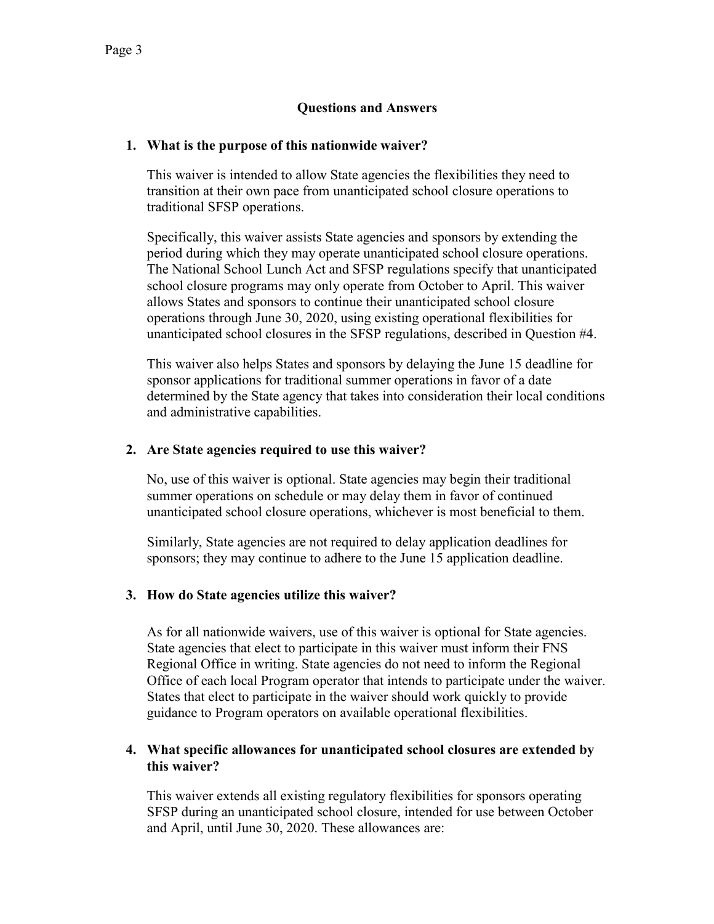# **Questions and Answers**

#### **1. What is the purpose of this nationwide waiver?**

This waiver is intended to allow State agencies the flexibilities they need to transition at their own pace from unanticipated school closure operations to traditional SFSP operations.

Specifically, this waiver assists State agencies and sponsors by extending the period during which they may operate unanticipated school closure operations. The National School Lunch Act and SFSP regulations specify that unanticipated school closure programs may only operate from October to April. This waiver allows States and sponsors to continue their unanticipated school closure operations through June 30, 2020, using existing operational flexibilities for unanticipated school closures in the SFSP regulations, described in Question #4.

This waiver also helps States and sponsors by delaying the June 15 deadline for sponsor applications for traditional summer operations in favor of a date determined by the State agency that takes into consideration their local conditions and administrative capabilities.

### **2. Are State agencies required to use this waiver?**

No, use of this waiver is optional. State agencies may begin their traditional summer operations on schedule or may delay them in favor of continued unanticipated school closure operations, whichever is most beneficial to them.

Similarly, State agencies are not required to delay application deadlines for sponsors; they may continue to adhere to the June 15 application deadline.

#### **3. How do State agencies utilize this waiver?**

As for all nationwide waivers, use of this waiver is optional for State agencies. State agencies that elect to participate in this waiver must inform their FNS Regional Office in writing. State agencies do not need to inform the Regional Office of each local Program operator that intends to participate under the waiver. States that elect to participate in the waiver should work quickly to provide guidance to Program operators on available operational flexibilities.

### **4. What specific allowances for unanticipated school closures are extended by this waiver?**

This waiver extends all existing regulatory flexibilities for sponsors operating SFSP during an unanticipated school closure, intended for use between October and April, until June 30, 2020. These allowances are: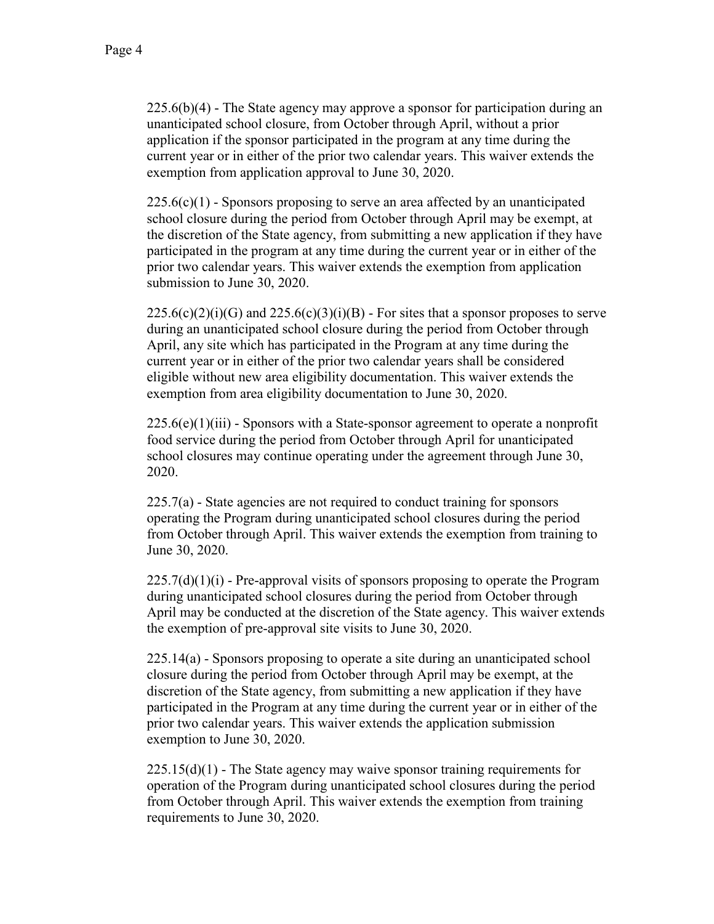$225.6(b)(4)$  - The State agency may approve a sponsor for participation during an unanticipated school closure, from October through April, without a prior application if the sponsor participated in the program at any time during the current year or in either of the prior two calendar years. This waiver extends the exemption from application approval to June 30, 2020.

 $225.6(c)(1)$  - Sponsors proposing to serve an area affected by an unanticipated school closure during the period from October through April may be exempt, at the discretion of the State agency, from submitting a new application if they have participated in the program at any time during the current year or in either of the prior two calendar years. This waiver extends the exemption from application submission to June 30, 2020.

 $225.6(c)(2)(i)(G)$  and  $225.6(c)(3)(i)(B)$  - For sites that a sponsor proposes to serve during an unanticipated school closure during the period from October through April, any site which has participated in the Program at any time during the current year or in either of the prior two calendar years shall be considered eligible without new area eligibility documentation. This waiver extends the exemption from area eligibility documentation to June 30, 2020.

 $225.6(e)(1)(iii)$  - Sponsors with a State-sponsor agreement to operate a nonprofit food service during the period from October through April for unanticipated school closures may continue operating under the agreement through June 30, 2020.

225.7(a) - State agencies are not required to conduct training for sponsors operating the Program during unanticipated school closures during the period from October through April. This waiver extends the exemption from training to June 30, 2020.

 $225.7(d)(1)(i)$  - Pre-approval visits of sponsors proposing to operate the Program during unanticipated school closures during the period from October through April may be conducted at the discretion of the State agency. This waiver extends the exemption of pre-approval site visits to June 30, 2020.

225.14(a) - Sponsors proposing to operate a site during an unanticipated school closure during the period from October through April may be exempt, at the discretion of the State agency, from submitting a new application if they have participated in the Program at any time during the current year or in either of the prior two calendar years. This waiver extends the application submission exemption to June 30, 2020.

 $225.15(d)(1)$  - The State agency may waive sponsor training requirements for operation of the Program during unanticipated school closures during the period from October through April. This waiver extends the exemption from training requirements to June 30, 2020.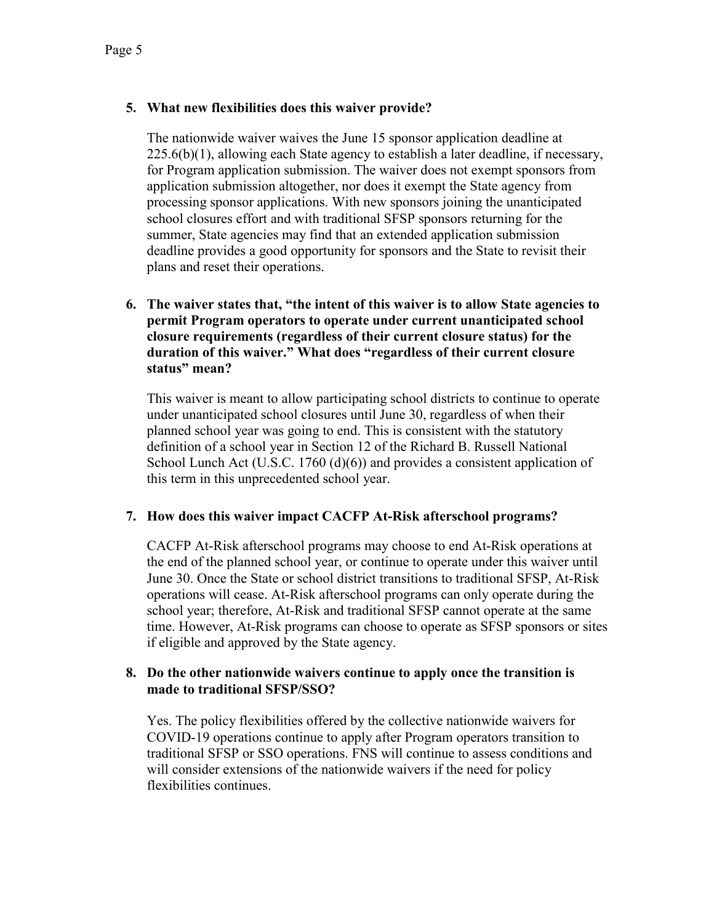# **5. What new flexibilities does this waiver provide?**

The nationwide waiver waives the June 15 sponsor application deadline at  $225.6(b)(1)$ , allowing each State agency to establish a later deadline, if necessary, for Program application submission. The waiver does not exempt sponsors from application submission altogether, nor does it exempt the State agency from processing sponsor applications. With new sponsors joining the unanticipated school closures effort and with traditional SFSP sponsors returning for the summer, State agencies may find that an extended application submission deadline provides a good opportunity for sponsors and the State to revisit their plans and reset their operations.

## **6. The waiver states that, "the intent of this waiver is to allow State agencies to permit Program operators to operate under current unanticipated school closure requirements (regardless of their current closure status) for the duration of this waiver." What does "regardless of their current closure status" mean?**

This waiver is meant to allow participating school districts to continue to operate under unanticipated school closures until June 30, regardless of when their planned school year was going to end. This is consistent with the statutory definition of a school year in Section 12 of the Richard B. Russell National School Lunch Act (U.S.C. 1760 (d)(6)) and provides a consistent application of this term in this unprecedented school year.

## **7. How does this waiver impact CACFP At-Risk afterschool programs?**

CACFP At-Risk afterschool programs may choose to end At-Risk operations at the end of the planned school year, or continue to operate under this waiver until June 30. Once the State or school district transitions to traditional SFSP, At-Risk operations will cease. At-Risk afterschool programs can only operate during the school year; therefore, At-Risk and traditional SFSP cannot operate at the same time. However, At-Risk programs can choose to operate as SFSP sponsors or sites if eligible and approved by the State agency.

### **8. Do the other nationwide waivers continue to apply once the transition is made to traditional SFSP/SSO?**

Yes. The policy flexibilities offered by the collective nationwide waivers for COVID-19 operations continue to apply after Program operators transition to traditional SFSP or SSO operations. FNS will continue to assess conditions and will consider extensions of the nationwide waivers if the need for policy flexibilities continues.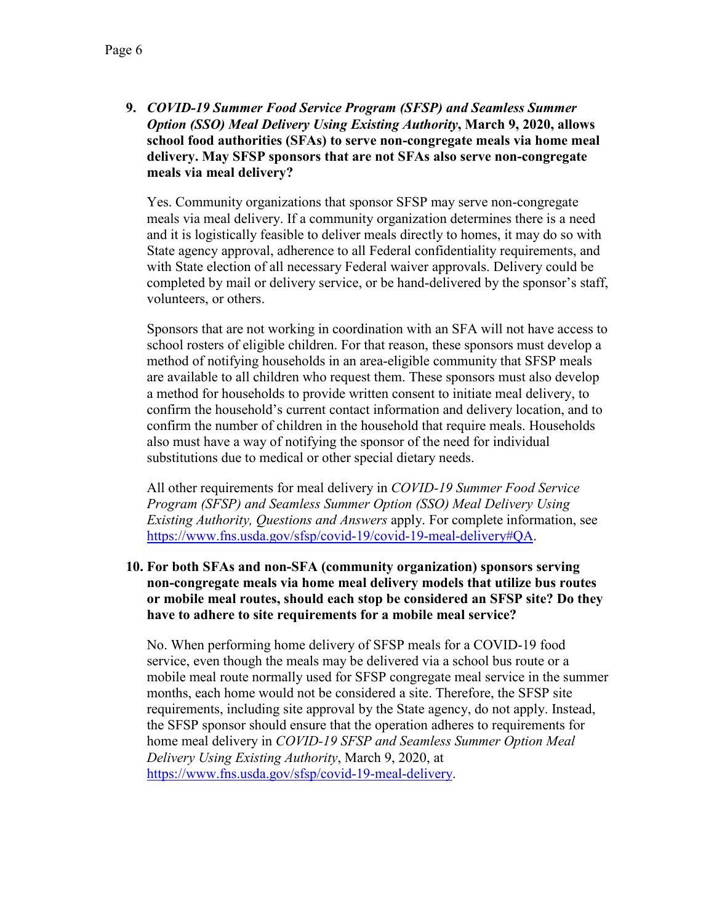**9.** *COVID-19 Summer Food Service Program (SFSP) and Seamless Summer Option (SSO) Meal Delivery Using Existing Authority***, March 9, 2020, allows school food authorities (SFAs) to serve non-congregate meals via home meal delivery. May SFSP sponsors that are not SFAs also serve non-congregate meals via meal delivery?**

Yes. Community organizations that sponsor SFSP may serve non-congregate meals via meal delivery. If a community organization determines there is a need and it is logistically feasible to deliver meals directly to homes, it may do so with State agency approval, adherence to all Federal confidentiality requirements, and with State election of all necessary Federal waiver approvals. Delivery could be completed by mail or delivery service, or be hand-delivered by the sponsor's staff, volunteers, or others.

Sponsors that are not working in coordination with an SFA will not have access to school rosters of eligible children. For that reason, these sponsors must develop a method of notifying households in an area-eligible community that SFSP meals are available to all children who request them. These sponsors must also develop a method for households to provide written consent to initiate meal delivery, to confirm the household's current contact information and delivery location, and to confirm the number of children in the household that require meals. Households also must have a way of notifying the sponsor of the need for individual substitutions due to medical or other special dietary needs.

All other requirements for meal delivery in *COVID-19 Summer Food Service Program (SFSP) and Seamless Summer Option (SSO) Meal Delivery Using Existing Authority, Questions and Answers* apply. For complete information, see [https://www.fns.usda.gov/sfsp/covid-19/covid-19-meal-delivery#QA.](https://www.fns.usda.gov/sfsp/covid-19/covid-19-meal-delivery#QA)

### **10. For both SFAs and non-SFA (community organization) sponsors serving non-congregate meals via home meal delivery models that utilize bus routes or mobile meal routes, should each stop be considered an SFSP site? Do they have to adhere to site requirements for a mobile meal service?**

No. When performing home delivery of SFSP meals for a COVID-19 food service, even though the meals may be delivered via a school bus route or a mobile meal route normally used for SFSP congregate meal service in the summer months, each home would not be considered a site. Therefore, the SFSP site requirements, including site approval by the State agency, do not apply. Instead, the SFSP sponsor should ensure that the operation adheres to requirements for home meal delivery in *COVID-19 SFSP and Seamless Summer Option Meal Delivery Using Existing Authority*, March 9, 2020, at [https://www.fns.usda.gov/sfsp/covid-19-meal-delivery.](https://www.fns.usda.gov/sfsp/covid-19-meal-delivery)